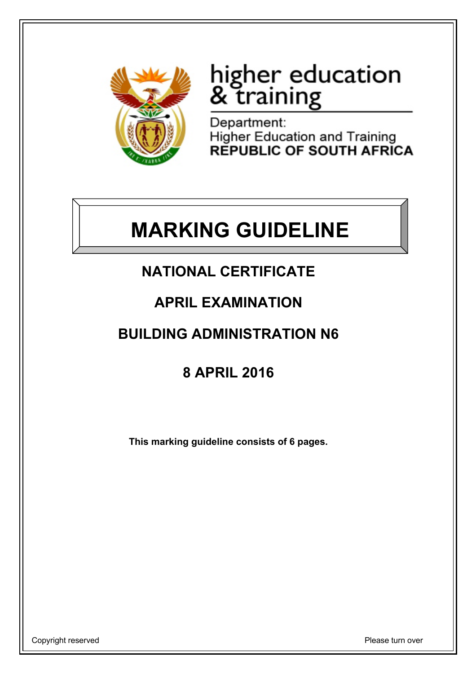

# higher education<br>& training

Department: Higher Education and Training<br>REPUBLIC OF SOUTH AFRICA

## **MARKING GUIDELINE**

## **NATIONAL CERTIFICATE**

### **APRIL EXAMINATION**

## **BUILDING ADMINISTRATION N6**

## **8 APRIL 2016**

**This marking guideline consists of 6 pages.**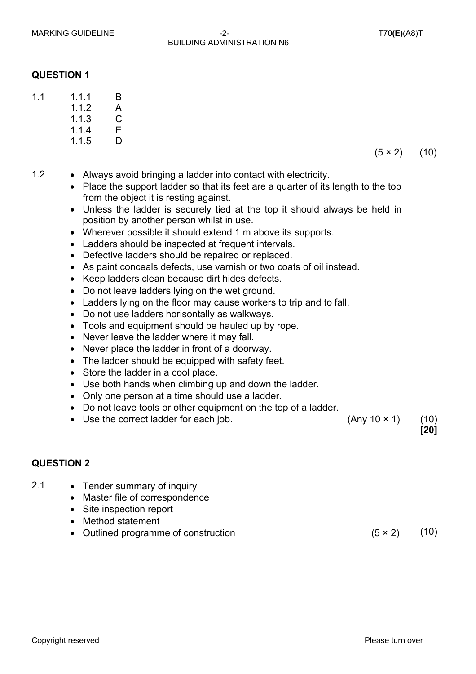#### MARKING GUIDELINE  $-2$ -<br>marking cuideline BUILDING ADMINISTRATION N6

#### **QUESTION 1**

- 11 111 B
	- 1.1.2 A
	- 1.1.3  $\mathcal{C}$ E
	- 1.1.4
	- 1.1.5 D
- $(5 \times 2)$  (10)
- 1.2 Always avoid bringing a ladder into contact with electricity.
	- Place the support ladder so that its feet are a quarter of its length to the top from the object it is resting against.
	- Unless the ladder is securely tied at the top it should always be held in position by another person whilst in use.
	- Wherever possible it should extend 1 m above its supports.
	- Ladders should be inspected at frequent intervals.
	- Defective ladders should be repaired or replaced.
	- As paint conceals defects, use varnish or two coats of oil instead.
	- Keep ladders clean because dirt hides defects.
	- Do not leave ladders lying on the wet ground.
	- Ladders lying on the floor may cause workers to trip and to fall.
	- Do not use ladders horisontally as walkways.
	- Tools and equipment should be hauled up by rope.
	- Never leave the ladder where it may fall.
	- Never place the ladder in front of a doorway.
	- The ladder should be equipped with safety feet.
	- Store the ladder in a cool place.
	- Use both hands when climbing up and down the ladder.
	- Only one person at a time should use a ladder.
	- Do not leave tools or other equipment on the top of a ladder.
	- Use the correct ladder for each job.  $(Any 10 \times 1)$  (10)

**[20]**

#### **QUESTION 2**

- 2.1 Tender summary of inquiry
	- Master file of correspondence
	- Site inspection report
	- Method statement
	- Outlined programme of construction  $(5 \times 2)$  (10)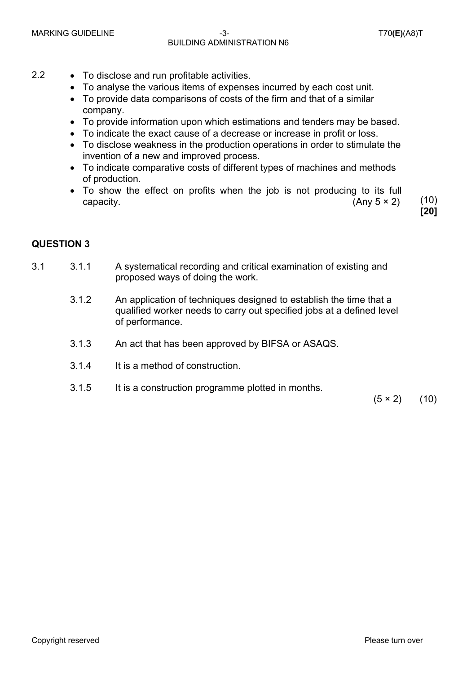#### MARKING GUIDELINE  $-3$ -  $-3$ - T70**(E)**(A8)T BUILDING ADMINISTRATION N6

- 2.2 To disclose and run profitable activities.
	- To analyse the various items of expenses incurred by each cost unit.
	- To provide data comparisons of costs of the firm and that of a similar company.
	- To provide information upon which estimations and tenders may be based.
	- To indicate the exact cause of a decrease or increase in profit or loss.
	- To disclose weakness in the production operations in order to stimulate the invention of a new and improved process.
	- To indicate comparative costs of different types of machines and methods of production.
	- To show the effect on profits when the job is not producing to its full capacity.  $(10)$

**[20]**

#### **QUESTION 3**

- 3.1 3.1.1 A systematical recording and critical examination of existing and proposed ways of doing the work.
	- 3.1.2 An application of techniques designed to establish the time that a qualified worker needs to carry out specified jobs at a defined level of performance.
	- 3.1.3 An act that has been approved by BIFSA or ASAQS.
	- 3.1.4 It is a method of construction.
	- 3.1.5 It is a construction programme plotted in months.

 $(5 \times 2)$  (10)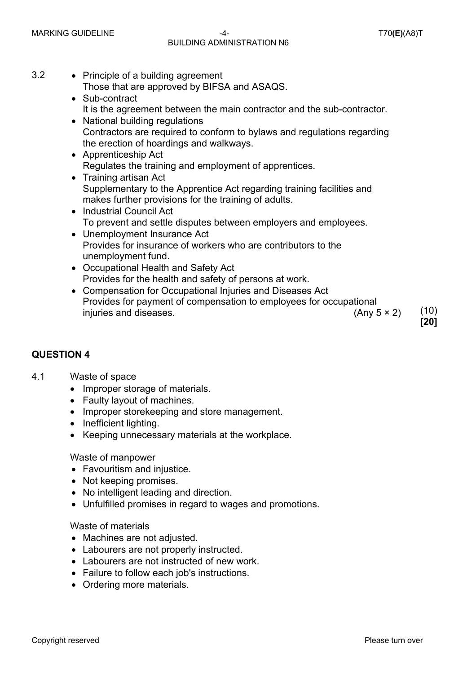#### MARKING GUIDELINE -4- T70**(E)**(A8)T BUILDING ADMINISTRATION N6

**[20]**

3.2 • Principle of a building agreement

Those that are approved by BIFSA and ASAQS.

- Sub-contract It is the agreement between the main contractor and the sub-contractor. • National building regulations
- Contractors are required to conform to bylaws and regulations regarding the erection of hoardings and walkways.
- Apprenticeship Act Regulates the training and employment of apprentices.
- Training artisan Act Supplementary to the Apprentice Act regarding training facilities and makes further provisions for the training of adults.
- Industrial Council Act To prevent and settle disputes between employers and employees.
- Unemployment Insurance Act Provides for insurance of workers who are contributors to the unemployment fund.
- Occupational Health and Safety Act Provides for the health and safety of persons at work.
- Compensation for Occupational Injuries and Diseases Act Provides for payment of compensation to employees for occupational injuries and diseases.  $(10)$

#### **QUESTION 4**

#### 4.1 Waste of space

- Improper storage of materials.
- Faulty layout of machines.
- Improper storekeeping and store management.
- Inefficient lighting.
- Keeping unnecessary materials at the workplace.

#### Waste of manpower

- Favouritism and injustice.
- Not keeping promises.
- No intelligent leading and direction.
- Unfulfilled promises in regard to wages and promotions.

#### Waste of materials

- Machines are not adjusted.
- Labourers are not properly instructed.
- Labourers are not instructed of new work.
- Failure to follow each job's instructions.
- Ordering more materials.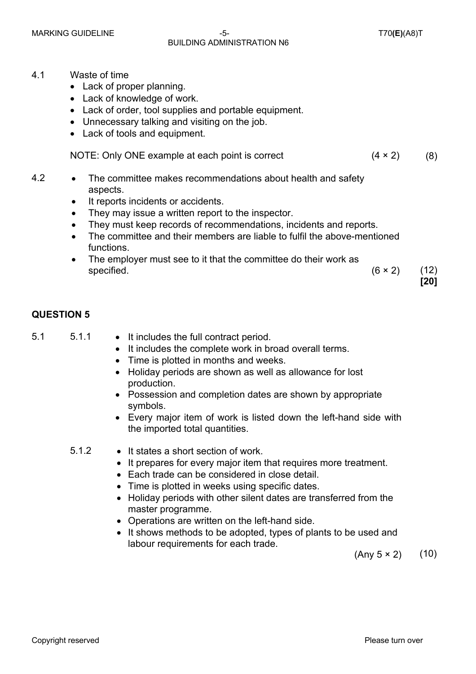#### MARKING GUIDELINE -5- T70**(E)**(A8)T BUILDING ADMINISTRATION N6

**[20]**

- 4.1 Waste of time
	- Lack of proper planning.
	- Lack of knowledge of work.
	- Lack of order, tool supplies and portable equipment.
	- Unnecessary talking and visiting on the job.
	- Lack of tools and equipment.

| NOTE: Only ONE example at each point is correct | $(4 \times 2)$ | (8) |
|-------------------------------------------------|----------------|-----|
|-------------------------------------------------|----------------|-----|

- 4.2 The committee makes recommendations about health and safety aspects.
	- It reports incidents or accidents.
	- They may issue a written report to the inspector.
	- They must keep records of recommendations, incidents and reports.
	- The committee and their members are liable to fulfil the above-mentioned functions.
	- The employer must see to it that the committee do their work as specified.  $(6 \times 2)$  (12)

#### **QUESTION 5**

- 
- 5.1 5.1.1 It includes the full contract period.
	- It includes the complete work in broad overall terms.
	- Time is plotted in months and weeks.
	- Holiday periods are shown as well as allowance for lost production.
	- Possession and completion dates are shown by appropriate symbols.
	- Every major item of work is listed down the left-hand side with the imported total quantities.
	- 5.1.2 It states a short section of work.
		- It prepares for every major item that requires more treatment.
		- Each trade can be considered in close detail.
		- Time is plotted in weeks using specific dates.
		- Holiday periods with other silent dates are transferred from the master programme.
		- Operations are written on the left-hand side.
		- It shows methods to be adopted, types of plants to be used and labour requirements for each trade.

 $(Any 5 × 2)$  (10)